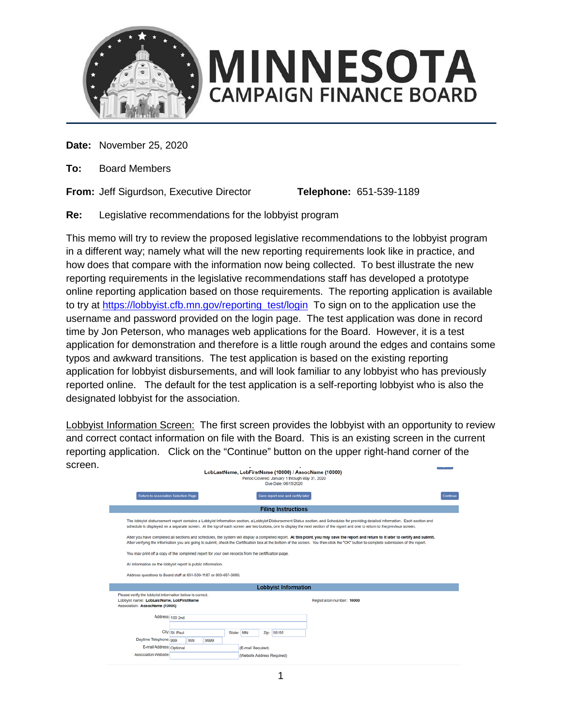

**Date:** November 25, 2020

**To:** Board Members

**From:** Jeff Sigurdson, Executive Director **Telephone:** 651-539-1189

**Re:** Legislative recommendations for the lobbyist program

This memo will try to review the proposed legislative recommendations to the lobbyist program in a different way; namely what will the new reporting requirements look like in practice, and how does that compare with the information now being collected. To best illustrate the new reporting requirements in the legislative recommendations staff has developed a prototype online reporting application based on those requirements. The reporting application is available to try at [https://lobbyist.cfb.mn.gov/reporting\\_test/login](https://lobbyist.cfb.mn.gov/reporting_test/login) To sign on to the application use the username and password provided on the login page. The test application was done in record time by Jon Peterson, who manages web applications for the Board. However, it is a test application for demonstration and therefore is a little rough around the edges and contains some typos and awkward transitions. The test application is based on the existing reporting application for lobbyist disbursements, and will look familiar to any lobbyist who has previously reported online. The default for the test application is a self-reporting lobbyist who is also the designated lobbyist for the association.

Lobbyist Information Screen: The first screen provides the lobbyist with an opportunity to review and correct contact information on file with the Board. This is an existing screen in the current reporting application. Click on the "Continue" button on the upper right-hand corner of the screen.  $\overline{1}$   $\overline{1}$   $\overline{1}$   $\overline{1}$   $\overline{1}$   $\overline{1}$   $\overline{1}$   $\overline{1}$   $\overline{1}$   $\overline{1}$   $\overline{1}$   $\overline{1}$   $\overline{1}$   $\overline{1}$   $\overline{1}$   $\overline{1}$   $\overline{1}$   $\overline{1}$   $\overline{1}$   $\overline{1}$   $\overline{1}$   $\overline{1}$   $\overline{1}$   $\overline{1}$   $\overline{$ 

| LobLastName, LobFirstName (10000) / AssocName (10000)<br>Period Covered: January 1 through May 31, 2020<br>Due Date: 06/15/2020 |                                                                                                                                                                                                                                                                                                                                                                                 |  |  |  |                            |          |  |  |  |
|---------------------------------------------------------------------------------------------------------------------------------|---------------------------------------------------------------------------------------------------------------------------------------------------------------------------------------------------------------------------------------------------------------------------------------------------------------------------------------------------------------------------------|--|--|--|----------------------------|----------|--|--|--|
|                                                                                                                                 | Return to Association Selection Page<br>Save report now and certify later                                                                                                                                                                                                                                                                                                       |  |  |  |                            | Continue |  |  |  |
| <b>Filing Instructions</b>                                                                                                      |                                                                                                                                                                                                                                                                                                                                                                                 |  |  |  |                            |          |  |  |  |
|                                                                                                                                 | The lobbyist disbursement report contains a Lobbyist Information section, a Lobbyist Disbursement Status section, and Schedules for providing detailed information. Each section and<br>schedule is displayed on a separate screen. At the top of each screen are two buttons, one to display the next section of the report and one to return to the previous screen.          |  |  |  |                            |          |  |  |  |
|                                                                                                                                 | After you have completed all sections and schedules, the system will display a completed report. At this point, you may save the report and return to it later to certify and submit.<br>After verifying the information you are going to submit, check the Certification box at the bottom of the screen. You then click the "OK" button to complete submission of the report. |  |  |  |                            |          |  |  |  |
| You may print off a copy of the completed report for your own records from the certification page.                              |                                                                                                                                                                                                                                                                                                                                                                                 |  |  |  |                            |          |  |  |  |
| All information on the lobbyist report is public information.                                                                   |                                                                                                                                                                                                                                                                                                                                                                                 |  |  |  |                            |          |  |  |  |
|                                                                                                                                 | Address questions to Board staff at 651-539-1187 or 800-657-3889.                                                                                                                                                                                                                                                                                                               |  |  |  |                            |          |  |  |  |
|                                                                                                                                 | <b>Lobbyist Information</b>                                                                                                                                                                                                                                                                                                                                                     |  |  |  |                            |          |  |  |  |
|                                                                                                                                 | Please verify the lobbyist information below is correct.<br>Lobbyist name: LobLastName, LobFirstName<br>Registration number: 10000<br>Association: AssocName (10000)                                                                                                                                                                                                            |  |  |  |                            |          |  |  |  |
|                                                                                                                                 | Address: 100 2nd                                                                                                                                                                                                                                                                                                                                                                |  |  |  |                            |          |  |  |  |
|                                                                                                                                 |                                                                                                                                                                                                                                                                                                                                                                                 |  |  |  |                            |          |  |  |  |
| Daytime Telephone: 999                                                                                                          | City: St. Paul<br>State: MN<br>Zip: 55155                                                                                                                                                                                                                                                                                                                                       |  |  |  |                            |          |  |  |  |
| E-mail Address: Optional                                                                                                        | 999<br>9999<br>(E-mail Required)                                                                                                                                                                                                                                                                                                                                                |  |  |  |                            |          |  |  |  |
| Association Website:                                                                                                            |                                                                                                                                                                                                                                                                                                                                                                                 |  |  |  | (Website Address Required) |          |  |  |  |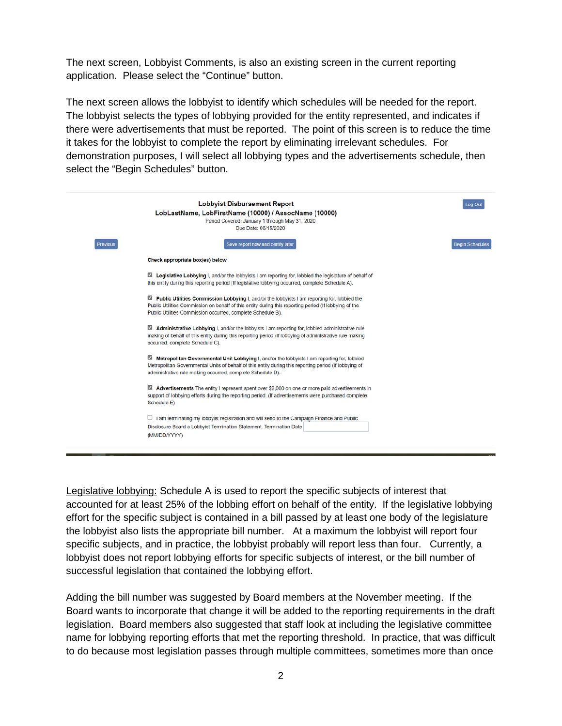The next screen, Lobbyist Comments, is also an existing screen in the current reporting application. Please select the "Continue" button.

The next screen allows the lobbyist to identify which schedules will be needed for the report. The lobbyist selects the types of lobbying provided for the entity represented, and indicates if there were advertisements that must be reported. The point of this screen is to reduce the time it takes for the lobbyist to complete the report by eliminating irrelevant schedules. For demonstration purposes, I will select all lobbying types and the advertisements schedule, then select the "Begin Schedules" button.

|          | <b>Lobbyist Disbursement Report</b><br>LobLastName, LobFirstName (10000) / AssocName (10000)<br>Period Covered: January 1 through May 31, 2020<br>Due Date: 06/15/2020                                                                                               | Log Out                |
|----------|----------------------------------------------------------------------------------------------------------------------------------------------------------------------------------------------------------------------------------------------------------------------|------------------------|
| Previous | Save report now and certify later                                                                                                                                                                                                                                    | <b>Begin Schedules</b> |
|          | Check appropriate box(es) below                                                                                                                                                                                                                                      |                        |
|          | Legislative Lobbying I, and/or the lobbyists I am reporting for, lobbied the legislature of behalf of<br>this entity during this reporting period (If legislative lobbying occurred, complete Schedule A).                                                           |                        |
|          | Public Utilities Commission Lobbying I, and/or the lobbyists I am reporting for, lobbied the<br>Public Utilities Commission on behalf of this entity during this reporting period (If lobbying of the<br>Public Utilities Commission occurred, complete Schedule B). |                        |
|          | Administrative Lobbying I, and/or the lobbyists I am reporting for, lobbied administrative rule<br>making of behalf of this entity during this reporting period (If lobbying of administrative rule making<br>occurred, complete Schedule C).                        |                        |
|          | Metropolitan Governmental Unit Lobbying I, and/or the lobbyists I am reporting for, lobbied<br>Metropolitan Governmental Units of behalf of this entity during this reporting period (If lobbying of<br>administrative rule making occurred, complete Schedule D).   |                        |
|          | Advertisements The entity I represent spent over \$2,000 on one or more paid advertisements in<br>support of lobbying efforts during the reporting period. (If advertisements were purchased complete<br>Schedule E)                                                 |                        |
|          | $\Box$ I am terminating my lobbyist registration and will send to the Campaign Finance and Public                                                                                                                                                                    |                        |
|          | Disclosure Board a Lobbyist Termination Statement. Termination Date                                                                                                                                                                                                  |                        |
|          | (MM/DD/YYYY)                                                                                                                                                                                                                                                         |                        |

Legislative lobbying: Schedule A is used to report the specific subjects of interest that accounted for at least 25% of the lobbing effort on behalf of the entity. If the legislative lobbying effort for the specific subject is contained in a bill passed by at least one body of the legislature the lobbyist also lists the appropriate bill number. At a maximum the lobbyist will report four specific subjects, and in practice, the lobbyist probably will report less than four. Currently, a lobbyist does not report lobbying efforts for specific subjects of interest, or the bill number of successful legislation that contained the lobbying effort.

Adding the bill number was suggested by Board members at the November meeting. If the Board wants to incorporate that change it will be added to the reporting requirements in the draft legislation. Board members also suggested that staff look at including the legislative committee name for lobbying reporting efforts that met the reporting threshold. In practice, that was difficult to do because most legislation passes through multiple committees, sometimes more than once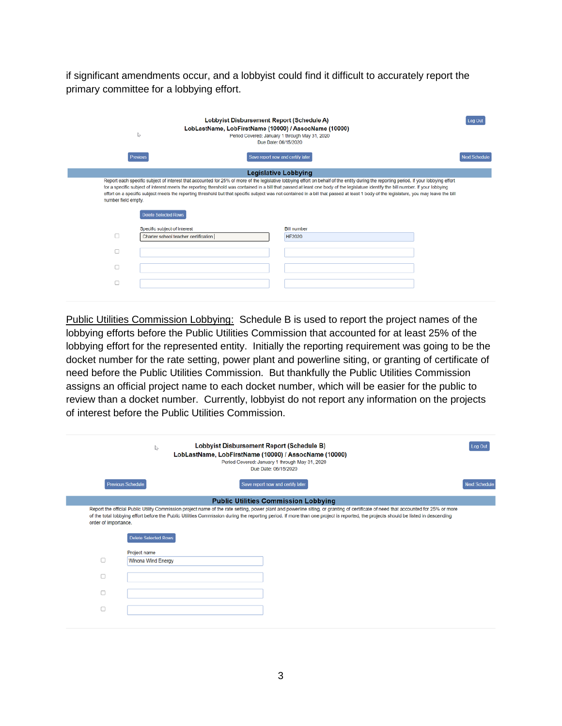if significant amendments occur, and a lobbyist could find it difficult to accurately report the primary committee for a lobbying effort.

| Lobbyist Disbursement Report (Schedule A)<br>LobLastName, LobFirstName (10000) / AssocName (10000)<br>↳<br>Period Covered: January 1 through May 31, 2020<br>Due Date: 06/15/2020 |                                                                                                                                                                                                                                                                                                                                                                                                                                                                                                                                                                            |                      |  |  |  |  |
|-----------------------------------------------------------------------------------------------------------------------------------------------------------------------------------|----------------------------------------------------------------------------------------------------------------------------------------------------------------------------------------------------------------------------------------------------------------------------------------------------------------------------------------------------------------------------------------------------------------------------------------------------------------------------------------------------------------------------------------------------------------------------|----------------------|--|--|--|--|
| Previous                                                                                                                                                                          | Save report now and certify later                                                                                                                                                                                                                                                                                                                                                                                                                                                                                                                                          | <b>Next Schedule</b> |  |  |  |  |
|                                                                                                                                                                                   | <b>Legislative Lobbying</b>                                                                                                                                                                                                                                                                                                                                                                                                                                                                                                                                                |                      |  |  |  |  |
| number field empty.<br><b>Delete Selected Rows</b>                                                                                                                                | Report each specific subject of interest that accounted for 25% of more of the legislative lobbying effort on behalf of the entity during the reporting period. If your lobbying effort<br>for a specific subject of interest meets the reporting threshold was contained in a bill that passed at least one body of the legislature identify the bill number. If your lobbying<br>effort on a specific subject meets the reporting threshold but that specific subject was not contained in a bill that passed at least 1 body of the legislature, you may leave the bill |                      |  |  |  |  |
| Specific subject of interest                                                                                                                                                      | <b>Bill number</b>                                                                                                                                                                                                                                                                                                                                                                                                                                                                                                                                                         |                      |  |  |  |  |
| Charter school teacher certification                                                                                                                                              | <b>HF2020</b>                                                                                                                                                                                                                                                                                                                                                                                                                                                                                                                                                              |                      |  |  |  |  |
|                                                                                                                                                                                   |                                                                                                                                                                                                                                                                                                                                                                                                                                                                                                                                                                            |                      |  |  |  |  |
|                                                                                                                                                                                   |                                                                                                                                                                                                                                                                                                                                                                                                                                                                                                                                                                            |                      |  |  |  |  |
|                                                                                                                                                                                   |                                                                                                                                                                                                                                                                                                                                                                                                                                                                                                                                                                            |                      |  |  |  |  |

Public Utilities Commission Lobbying: Schedule B is used to report the project names of the lobbying efforts before the Public Utilities Commission that accounted for at least 25% of the lobbying effort for the represented entity. Initially the reporting requirement was going to be the docket number for the rate setting, power plant and powerline siting, or granting of certificate of need before the Public Utilities Commission. But thankfully the Public Utilities Commission assigns an official project name to each docket number, which will be easier for the public to review than a docket number. Currently, lobbyist do not report any information on the projects of interest before the Public Utilities Commission.

|                      | Lobbyist Disbursement Report (Schedule B)<br>₿<br>LobLastName, LobFirstName (10000) / AssocName (10000)<br>Period Covered: January 1 through May 31, 2020<br>Due Date: 06/15/2020                                                                                                                                                                                                                        | Log Out              |
|----------------------|----------------------------------------------------------------------------------------------------------------------------------------------------------------------------------------------------------------------------------------------------------------------------------------------------------------------------------------------------------------------------------------------------------|----------------------|
|                      | <b>Previous Schedule</b><br>Save report now and certify later                                                                                                                                                                                                                                                                                                                                            | <b>Next Schedule</b> |
|                      | <b>Public Utilities Commission Lobbying</b>                                                                                                                                                                                                                                                                                                                                                              |                      |
|                      |                                                                                                                                                                                                                                                                                                                                                                                                          |                      |
| order of importance. | Report the official Public Utility Commission project name of the rate setting, power plant and powerline siting, or granting of certificate of need that accounted for 25% or more<br>of the total lobbying effort before the Public Utilities Commission during the reporting period. If more than one project is reported, the projects should be listed in descending<br><b>Delete Selected Rows</b> |                      |
| O                    | Project name<br>Winona Wind Energy                                                                                                                                                                                                                                                                                                                                                                       |                      |
| Ω                    |                                                                                                                                                                                                                                                                                                                                                                                                          |                      |
|                      |                                                                                                                                                                                                                                                                                                                                                                                                          |                      |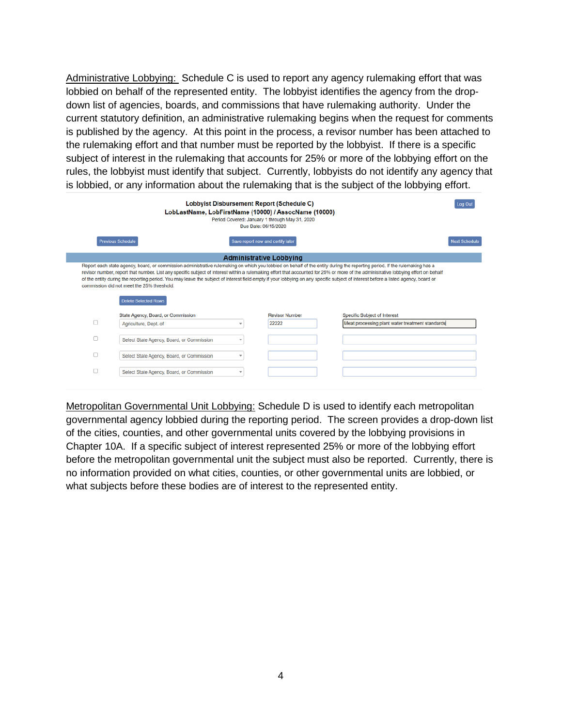Administrative Lobbying: Schedule C is used to report any agency rulemaking effort that was lobbied on behalf of the represented entity. The lobbyist identifies the agency from the dropdown list of agencies, boards, and commissions that have rulemaking authority. Under the current statutory definition, an administrative rulemaking begins when the request for comments is published by the agency. At this point in the process, a revisor number has been attached to the rulemaking effort and that number must be reported by the lobbyist. If there is a specific subject of interest in the rulemaking that accounts for 25% or more of the lobbying effort on the rules, the lobbyist must identify that subject. Currently, lobbyists do not identify any agency that is lobbied, or any information about the rulemaking that is the subject of the lobbying effort.

| Lobbyist Disbursement Report (Schedule C)<br>LobLastName, LobFirstName (10000) / AssocName (10000)<br>Period Covered: January 1 through May 31, 2020<br>Due Date: 06/15/2020 |                                                                                                                                                                                                                                                                                                                                                                                                                                                                                                                                                                                                                                      |                                   |                                |                              |                                                 |  |  |  |
|------------------------------------------------------------------------------------------------------------------------------------------------------------------------------|--------------------------------------------------------------------------------------------------------------------------------------------------------------------------------------------------------------------------------------------------------------------------------------------------------------------------------------------------------------------------------------------------------------------------------------------------------------------------------------------------------------------------------------------------------------------------------------------------------------------------------------|-----------------------------------|--------------------------------|------------------------------|-------------------------------------------------|--|--|--|
|                                                                                                                                                                              | <b>Previous Schedule</b>                                                                                                                                                                                                                                                                                                                                                                                                                                                                                                                                                                                                             | Save report now and certify later |                                |                              | <b>Next Schedule</b>                            |  |  |  |
|                                                                                                                                                                              | <b>Administrative Lobbying</b>                                                                                                                                                                                                                                                                                                                                                                                                                                                                                                                                                                                                       |                                   |                                |                              |                                                 |  |  |  |
|                                                                                                                                                                              | Report each state agency, board, or commission administrative rulemaking on which you lobbied on behalf of the entity during the reporting period. If the rulemaking has a<br>revisor number, report that number. List any specific subject of interest within a rulemaking effort that accounted for 25% or more of the administrative lobbying effort on behalf<br>of the entity during the reporting period. You may leave the subject of interest field empty if your lobbying on any specific subject of interest before a listed agency, board or<br>commission did not meet the 25% threshold.<br><b>Delete Selected Rows</b> |                                   |                                |                              |                                                 |  |  |  |
|                                                                                                                                                                              | State Agency, Board, or Commission                                                                                                                                                                                                                                                                                                                                                                                                                                                                                                                                                                                                   | v                                 | <b>Revisor Number</b><br>22222 | Specific Subject of Interest | Meat processing plant water treatment standards |  |  |  |
|                                                                                                                                                                              | Agriculture, Dept. of                                                                                                                                                                                                                                                                                                                                                                                                                                                                                                                                                                                                                |                                   |                                |                              |                                                 |  |  |  |
|                                                                                                                                                                              | Select State Agency, Board, or Commission                                                                                                                                                                                                                                                                                                                                                                                                                                                                                                                                                                                            | ÷                                 |                                |                              |                                                 |  |  |  |
| □                                                                                                                                                                            | Select State Agency, Board, or Commission                                                                                                                                                                                                                                                                                                                                                                                                                                                                                                                                                                                            | v                                 |                                |                              |                                                 |  |  |  |
| o                                                                                                                                                                            | Select State Agency, Board, or Commission                                                                                                                                                                                                                                                                                                                                                                                                                                                                                                                                                                                            | ÷                                 |                                |                              |                                                 |  |  |  |

Metropolitan Governmental Unit Lobbying: Schedule D is used to identify each metropolitan governmental agency lobbied during the reporting period. The screen provides a drop-down list of the cities, counties, and other governmental units covered by the lobbying provisions in Chapter 10A. If a specific subject of interest represented 25% or more of the lobbying effort before the metropolitan governmental unit the subject must also be reported. Currently, there is no information provided on what cities, counties, or other governmental units are lobbied, or what subjects before these bodies are of interest to the represented entity.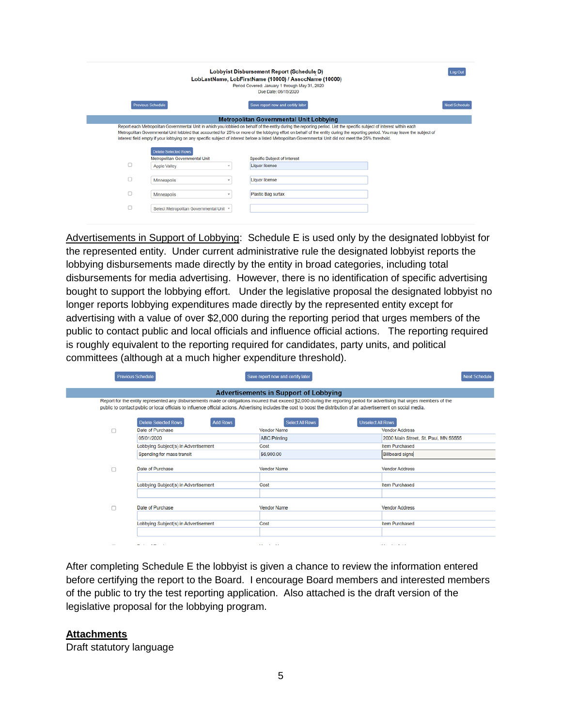| Lobbyist Disbursement Report (Schedule D)<br>LobLastName, LobFirstName (10000) / AssocName (10000)<br>Period Covered: January 1 through May 31, 2020 |                                                               |   |                                                                                                                                                                                                                                                                                                                                                          |                      |  |  |  |
|------------------------------------------------------------------------------------------------------------------------------------------------------|---------------------------------------------------------------|---|----------------------------------------------------------------------------------------------------------------------------------------------------------------------------------------------------------------------------------------------------------------------------------------------------------------------------------------------------------|----------------------|--|--|--|
|                                                                                                                                                      |                                                               |   | Due Date: 06/15/2020                                                                                                                                                                                                                                                                                                                                     |                      |  |  |  |
|                                                                                                                                                      | <b>Previous Schedule</b>                                      |   | Save report now and certify later                                                                                                                                                                                                                                                                                                                        | <b>Next Schedule</b> |  |  |  |
|                                                                                                                                                      |                                                               |   | <b>Metropolitan Governmental Unit Lobbying</b>                                                                                                                                                                                                                                                                                                           |                      |  |  |  |
|                                                                                                                                                      |                                                               |   | Report each Metropolitan Governmental Unit in which you lobbied on behalf of the entity during the reporting period. List the specific subject of interest within each<br>Metropolitan Governmental Unit lobbied that accounted for 25% or more of the lobbying effort on behalf of the entity during the reporting period. You may leave the subject of |                      |  |  |  |
|                                                                                                                                                      | <b>Delete Selected Rows</b><br>Metropolitan Governmental Unit |   | interest field empty if your lobbying on any specific subject of interest before a listed Metropolitan Governmental Unit did not meet the 25% threshold.<br><b>Specific Subject of Interest</b>                                                                                                                                                          |                      |  |  |  |
| c                                                                                                                                                    | <b>Apple Valley</b>                                           | ÷ | <b>Liquor license</b>                                                                                                                                                                                                                                                                                                                                    |                      |  |  |  |
| o                                                                                                                                                    | <b>Minneapolis</b>                                            |   | Liquor license                                                                                                                                                                                                                                                                                                                                           |                      |  |  |  |
| о                                                                                                                                                    | Minneapolis                                                   | ٠ | Plastic Bag surtax                                                                                                                                                                                                                                                                                                                                       |                      |  |  |  |

Advertisements in Support of Lobbying: Schedule E is used only by the designated lobbyist for the represented entity. Under current administrative rule the designated lobbyist reports the lobbying disbursements made directly by the entity in broad categories, including total disbursements for media advertising. However, there is no identification of specific advertising bought to support the lobbying effort. Under the legislative proposal the designated lobbyist no longer reports lobbying expenditures made directly by the represented entity except for advertising with a value of over \$2,000 during the reporting period that urges members of the public to contact public and local officials and influence official actions. The reporting required is roughly equivalent to the reporting required for candidates, party units, and political committees (although at a much higher expenditure threshold).

|                                                                                                                                                                                                                                                                                                                                                       | <b>Previous Schedule</b>                       | Save report now and certify later                  |                                      |  |  |  |  |  |
|-------------------------------------------------------------------------------------------------------------------------------------------------------------------------------------------------------------------------------------------------------------------------------------------------------------------------------------------------------|------------------------------------------------|----------------------------------------------------|--------------------------------------|--|--|--|--|--|
| <b>Advertisements in Support of Lobbying</b>                                                                                                                                                                                                                                                                                                          |                                                |                                                    |                                      |  |  |  |  |  |
| Report for the entity represented any disbursements made or obligations incurred that exceed \$2,000 during the reporting period for advertising that urges members of the<br>public to contact public or local officials to influence official actions. Advertising includes the cost to boost the distribution of an advertisement on social media. |                                                |                                                    |                                      |  |  |  |  |  |
|                                                                                                                                                                                                                                                                                                                                                       | <b>Delete Selected Rows</b><br><b>Add Rows</b> | <b>Select All Rows</b><br><b>Unselect All Rows</b> |                                      |  |  |  |  |  |
| n                                                                                                                                                                                                                                                                                                                                                     | Date of Purchase                               | <b>Vendor Name</b>                                 | <b>Vendor Address</b>                |  |  |  |  |  |
|                                                                                                                                                                                                                                                                                                                                                       | 05/01/2020                                     | <b>ABC Printing</b>                                | 2000 Main Street, St. Paul, MN 55555 |  |  |  |  |  |
|                                                                                                                                                                                                                                                                                                                                                       | Lobbying Subject(s) in Advertisement           | Cost                                               | Item Purchased                       |  |  |  |  |  |
|                                                                                                                                                                                                                                                                                                                                                       | Spending for mass transit                      | \$6,900.00                                         | <b>Billboard signs</b>               |  |  |  |  |  |
|                                                                                                                                                                                                                                                                                                                                                       | Date of Purchase                               | <b>Vendor Name</b>                                 | <b>Vendor Address</b>                |  |  |  |  |  |
|                                                                                                                                                                                                                                                                                                                                                       | Lobbying Subject(s) in Advertisement           | Cost                                               | <b>Item Purchased</b>                |  |  |  |  |  |
|                                                                                                                                                                                                                                                                                                                                                       |                                                |                                                    |                                      |  |  |  |  |  |
| n                                                                                                                                                                                                                                                                                                                                                     | Date of Purchase                               | <b>Vendor Name</b>                                 | <b>Vendor Address</b>                |  |  |  |  |  |
|                                                                                                                                                                                                                                                                                                                                                       | Lobbying Subject(s) in Advertisement           | Cost                                               | <b>Item Purchased</b>                |  |  |  |  |  |
|                                                                                                                                                                                                                                                                                                                                                       |                                                |                                                    |                                      |  |  |  |  |  |
|                                                                                                                                                                                                                                                                                                                                                       |                                                | <b>ALC: YES AND</b>                                | .                                    |  |  |  |  |  |

After completing Schedule E the lobbyist is given a chance to review the information entered before certifying the report to the Board. I encourage Board members and interested members of the public to try the test reporting application. Also attached is the draft version of the legislative proposal for the lobbying program.

#### **Attachments**

Draft statutory language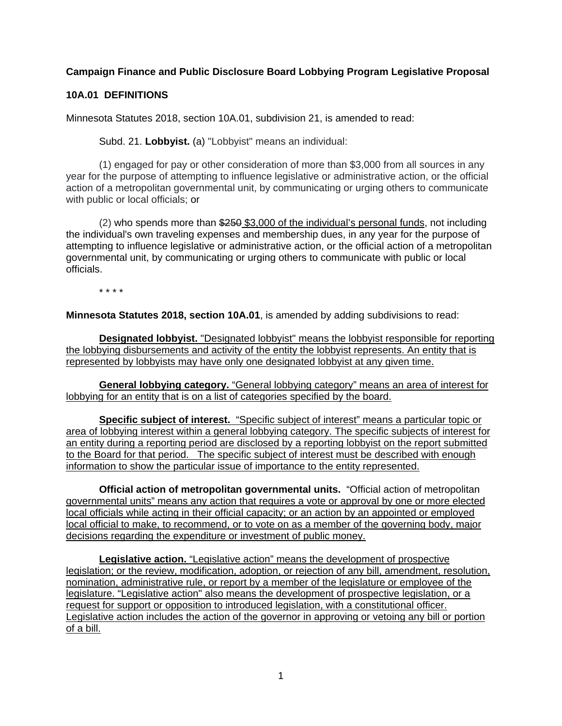# **Campaign Finance and Public Disclosure Board Lobbying Program Legislative Proposal**

## **10A.01 DEFINITIONS**

Minnesota Statutes 2018, section 10A.01, subdivision 21, is amended to read:

Subd. 21. **Lobbyist.** (a) "Lobbyist" means an individual:

(1) engaged for pay or other consideration of more than \$3,000 from all sources in any year for the purpose of attempting to influence legislative or administrative action, or the official action of a metropolitan governmental unit, by communicating or urging others to communicate with public or local officials; or

 $(2)$  who spends more than  $$250$  \$3,000 of the individual's personal funds, not including the individual's own traveling expenses and membership dues, in any year for the purpose of attempting to influence legislative or administrative action, or the official action of a metropolitan governmental unit, by communicating or urging others to communicate with public or local officials.

\* \* \* \*

**Minnesota Statutes 2018, section 10A.01**, is amended by adding subdivisions to read:

**Designated lobbyist.** "Designated lobbyist" means the lobbyist responsible for reporting the lobbying disbursements and activity of the entity the lobbyist represents. An entity that is represented by lobbyists may have only one designated lobbyist at any given time.

**General lobbying category.** "General lobbying category" means an area of interest for lobbying for an entity that is on a list of categories specified by the board.

**Specific subject of interest.** "Specific subject of interest" means a particular topic or area of lobbying interest within a general lobbying category. The specific subjects of interest for an entity during a reporting period are disclosed by a reporting lobbyist on the report submitted to the Board for that period. The specific subject of interest must be described with enough information to show the particular issue of importance to the entity represented.

**Official action of metropolitan governmental units.** "Official action of metropolitan governmental units" means any action that requires a vote or approval by one or more elected local officials while acting in their official capacity; or an action by an appointed or employed local official to make, to recommend, or to vote on as a member of the governing body, major decisions regarding the expenditure or investment of public money.

**Legislative action.** "Legislative action" means the development of prospective legislation; or the review, modification, adoption, or rejection of any bill, amendment, resolution, nomination, administrative rule, or report by a member of the legislature or employee of the legislature. "Legislative action" also means the development of prospective legislation, or a request for support or opposition to introduced legislation, with a constitutional officer. Legislative action includes the action of the governor in approving or vetoing any bill or portion of a bill.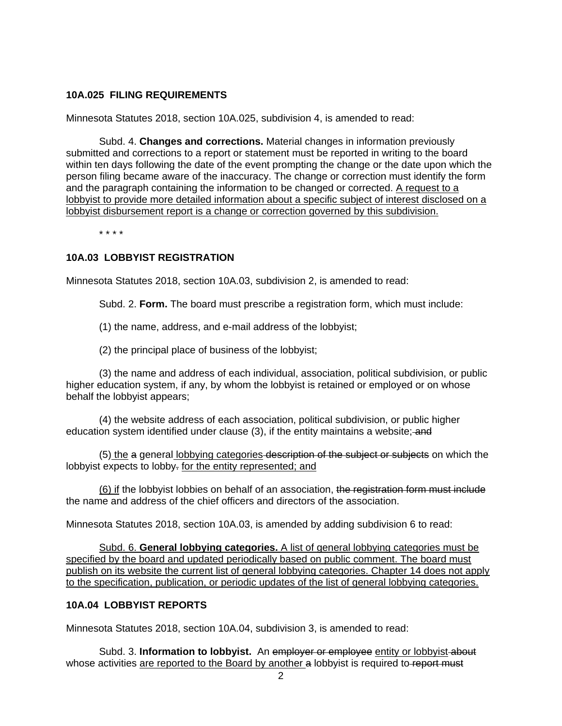## **10A.025 FILING REQUIREMENTS**

Minnesota Statutes 2018, section 10A.025, subdivision 4, is amended to read:

Subd. 4. **Changes and corrections.** Material changes in information previously submitted and corrections to a report or statement must be reported in writing to the board within ten days following the date of the event prompting the change or the date upon which the person filing became aware of the inaccuracy. The change or correction must identify the form and the paragraph containing the information to be changed or corrected. A request to a lobbyist to provide more detailed information about a specific subject of interest disclosed on a lobbyist disbursement report is a change or correction governed by this subdivision.

\* \* \* \*

## **10A.03 LOBBYIST REGISTRATION**

Minnesota Statutes 2018, section 10A.03, subdivision 2, is amended to read:

Subd. 2. **Form.** The board must prescribe a registration form, which must include:

(1) the name, address, and e-mail address of the lobbyist;

(2) the principal place of business of the lobbyist;

(3) the name and address of each individual, association, political subdivision, or public higher education system, if any, by whom the lobbyist is retained or employed or on whose behalf the lobbyist appears;

(4) the website address of each association, political subdivision, or public higher education system identified under clause (3), if the entity maintains a website; and

(5) the a general lobbying categories description of the subject or subjects on which the lobbyist expects to lobby. for the entity represented; and

(6) if the lobbyist lobbies on behalf of an association, the registration form must include the name and address of the chief officers and directors of the association.

Minnesota Statutes 2018, section 10A.03, is amended by adding subdivision 6 to read:

Subd. 6. **General lobbying categories.** A list of general lobbying categories must be specified by the board and updated periodically based on public comment. The board must publish on its website the current list of general lobbying categories. Chapter 14 does not apply to the specification, publication, or periodic updates of the list of general lobbying categories.

### **10A.04 LOBBYIST REPORTS**

Minnesota Statutes 2018, section 10A.04, subdivision 3, is amended to read:

Subd. 3. Information to lobbyist. An employer or employee entity or lobbyist-about whose activities are reported to the Board by another a lobbyist is required to report must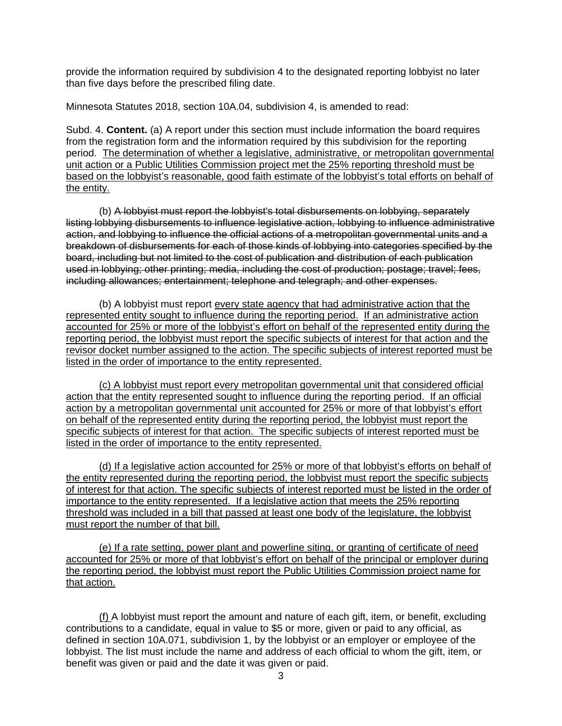provide the information required by subdivision 4 to the designated reporting lobbyist no later than five days before the prescribed filing date.

Minnesota Statutes 2018, section 10A.04, subdivision 4, is amended to read:

Subd. 4. **Content.** (a) A report under this section must include information the board requires from the registration form and the information required by this subdivision for the reporting period. The determination of whether a legislative, administrative, or metropolitan governmental unit action or a Public Utilities Commission project met the 25% reporting threshold must be based on the lobbyist's reasonable, good faith estimate of the lobbyist's total efforts on behalf of the entity.

(b) A lobbyist must report the lobbyist's total disbursements on lobbying, separately listing lobbying disbursements to influence legislative action, lobbying to influence administrative action, and lobbying to influence the official actions of a metropolitan governmental units and a breakdown of disbursements for each of those kinds of lobbying into categories specified by the board, including but not limited to the cost of publication and distribution of each publication used in lobbying; other printing; media, including the cost of production; postage; travel; fees, including allowances; entertainment; telephone and telegraph; and other expenses.

(b) A lobbyist must report every state agency that had administrative action that the represented entity sought to influence during the reporting period. If an administrative action accounted for 25% or more of the lobbyist's effort on behalf of the represented entity during the reporting period, the lobbyist must report the specific subjects of interest for that action and the revisor docket number assigned to the action. The specific subjects of interest reported must be listed in the order of importance to the entity represented.

(c) A lobbyist must report every metropolitan governmental unit that considered official action that the entity represented sought to influence during the reporting period. If an official action by a metropolitan governmental unit accounted for 25% or more of that lobbyist's effort on behalf of the represented entity during the reporting period, the lobbyist must report the specific subjects of interest for that action. The specific subjects of interest reported must be listed in the order of importance to the entity represented.

(d) If a legislative action accounted for 25% or more of that lobbyist's efforts on behalf of the entity represented during the reporting period, the lobbyist must report the specific subjects of interest for that action. The specific subjects of interest reported must be listed in the order of importance to the entity represented. If a legislative action that meets the 25% reporting threshold was included in a bill that passed at least one body of the legislature, the lobbyist must report the number of that bill.

(e) If a rate setting, power plant and powerline siting, or granting of certificate of need accounted for 25% or more of that lobbyist's effort on behalf of the principal or employer during the reporting period, the lobbyist must report the Public Utilities Commission project name for that action.

(f) A lobbyist must report the amount and nature of each gift, item, or benefit, excluding contributions to a candidate, equal in value to \$5 or more, given or paid to any official, as defined in section 10A.071, subdivision 1, by the lobbyist or an employer or employee of the lobbyist. The list must include the name and address of each official to whom the gift, item, or benefit was given or paid and the date it was given or paid.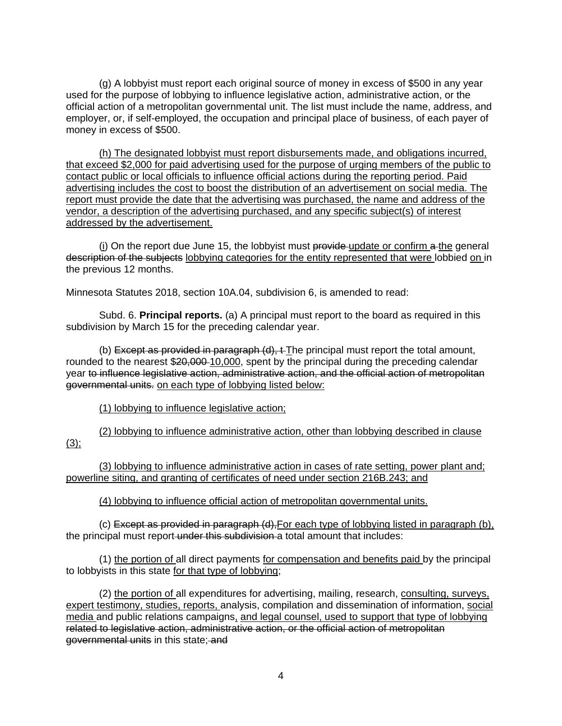(g) A lobbyist must report each original source of money in excess of \$500 in any year used for the purpose of lobbying to influence legislative action, administrative action, or the official action of a metropolitan governmental unit. The list must include the name, address, and employer, or, if self-employed, the occupation and principal place of business, of each payer of money in excess of \$500.

(h) The designated lobbyist must report disbursements made, and obligations incurred, that exceed \$2,000 for paid advertising used for the purpose of urging members of the public to contact public or local officials to influence official actions during the reporting period. Paid advertising includes the cost to boost the distribution of an advertisement on social media. The report must provide the date that the advertising was purchased, the name and address of the vendor, a description of the advertising purchased, and any specific subject(s) of interest addressed by the advertisement.

(i) On the report due June 15, the lobbyist must  $\frac{1}{10}$  provide update or confirm  $\frac{1}{10}$  a the general description of the subjects lobbying categories for the entity represented that were lobbied on in the previous 12 months.

Minnesota Statutes 2018, section 10A.04, subdivision 6, is amended to read:

Subd. 6. **Principal reports.** (a) A principal must report to the board as required in this subdivision by March 15 for the preceding calendar year.

(b) Except as provided in paragraph (d), t-The principal must report the total amount, rounded to the nearest \$20,000-10,000, spent by the principal during the preceding calendar year to influence legislative action, administrative action, and the official action of metropolitan governmental units. on each type of lobbying listed below:

(1) lobbying to influence legislative action;

(2) lobbying to influence administrative action, other than lobbying described in clause  $(3)$ ;

(3) lobbying to influence administrative action in cases of rate setting, power plant and; powerline siting, and granting of certificates of need under section 216B.243; and

(4) lobbying to influence official action of metropolitan governmental units.

(c) Except as provided in paragraph (d),For each type of lobbying listed in paragraph (b), the principal must report-under this subdivision a total amount that includes:

(1) the portion of all direct payments for compensation and benefits paid by the principal to lobbyists in this state for that type of lobbying;

(2) the portion of all expenditures for advertising, mailing, research, consulting, surveys, expert testimony, studies, reports, analysis, compilation and dissemination of information, social media and public relations campaigns, and legal counsel, used to support that type of lobbying related to legislative action, administrative action, or the official action of metropolitan governmental units in this state; and